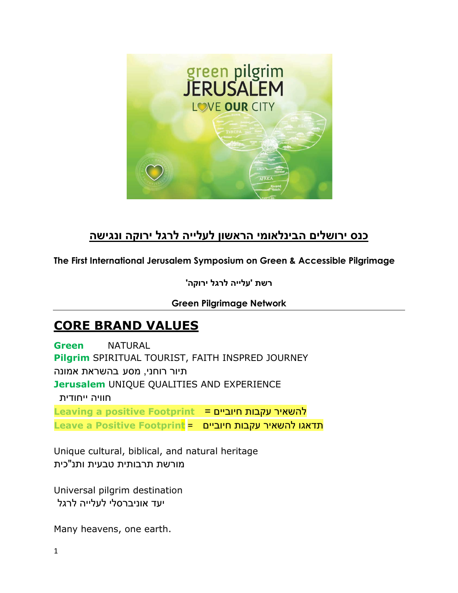

### **כנס ירושלים הבינלאומי הראשון לעלייה לרגל ירוקה ונגישה**

### **The First International Jerusalem Symposium on Green & Accessible Pilgrimage**

**רשת 'עלייה לרגל ירוקה'**

#### **Green Pilgrimage Network**

## **CORE BRAND VALUES**

**Green** NATURAL **Pilgrim** SPIRITUAL TOURIST, FAITH INSPRED JOURNEY תיור רוחני, מסע בהשראת אמונה **Jerusalem** UNIQUE QUALITIES AND EXPERIENCE חוויה ייחודית **Leaving a positive Footprint** = חיוביים עקבות להשאיר תדאגו להשאיר עקבות חיוביים = **Footprint Positive a Leave**

Unique cultural, biblical, and natural heritage מורשת תרבותית טבעית ותנ"כית

Universal pilgrim destination יעד אוניברסלי לעלייה לרגל

Many heavens, one earth.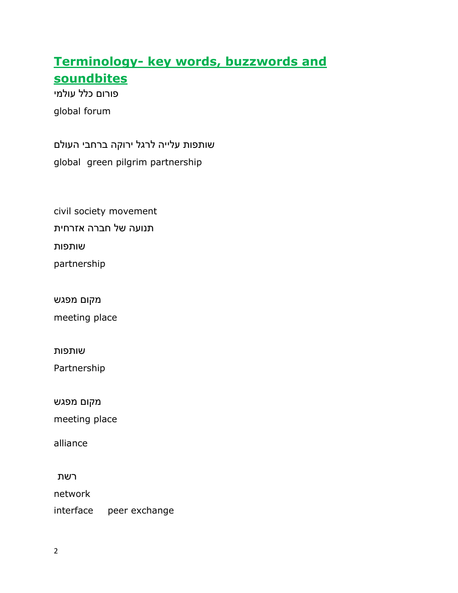## **Terminology- key words, buzzwords and soundbites**

 פורום כלל עולמי global forum

שותפות עלייה לרגל ירוקה ברחבי העולם global green pilgrim partnership

civil society movement תנועה של חברה אזרחית שותפות

partnership

מקום מפגש

meeting place

שותפות

Partnership

מקום מפגש

meeting place

alliance

רשת

network

interface peer exchange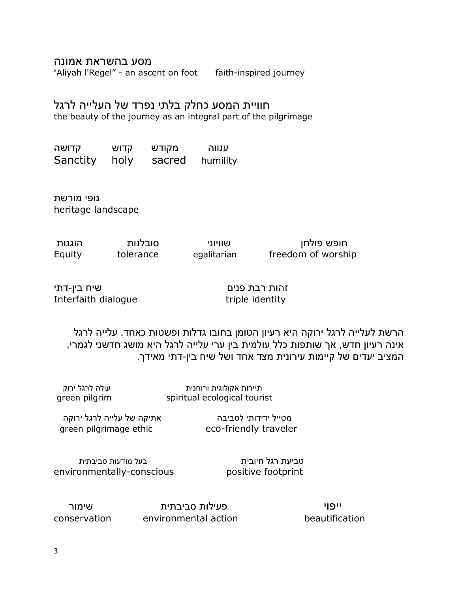מסע בהשראת אמונה

"Aliyah l'Regel" - an ascent on foot faith-inspired journey

### חוויית המסע כחלק בלתי נפרד של העלייה לרגל

the beauty of the journey as an integral part of the pilgrimage

ענווה מקודש קדושה Sanctity holy sacred humility

נופי מורשת heritage landscape

חופש פולחן שוויוני סובלנות הוגנות Equity tolerance egalitarian freedom of worship

זהות רבת פנים שיח בין-דתי Interfaith dialogue triple identity

הרשת לעלייה לרגל ירוקה היא רעיון הטומן בחובו גדלות ופשטות כאחד. עלייה לרגל אינה רעיון חדש, אך שותפות כלל עולמית בין ערי עלייה לרגל היא מושג חדשני לגמרי, המציב יעדים של קיימות עירונית מצד אחד ושל שיח בין-דתי מאידך.

תיירות אקולוגית ורוחנית עולה לרגל ירוק green pilgrim spiritual ecological tourist

מטייל ידידותי לסביבה אתיקה של עלייה לרגל ירוקה

green pilgrimage ethic eco-friendly traveler

טביעת רגל חיובית בעל מודעות סביבתית environmentally-conscious positive footprint

 ייפוי פעילות סביבתית שימור conservation environmental action beautification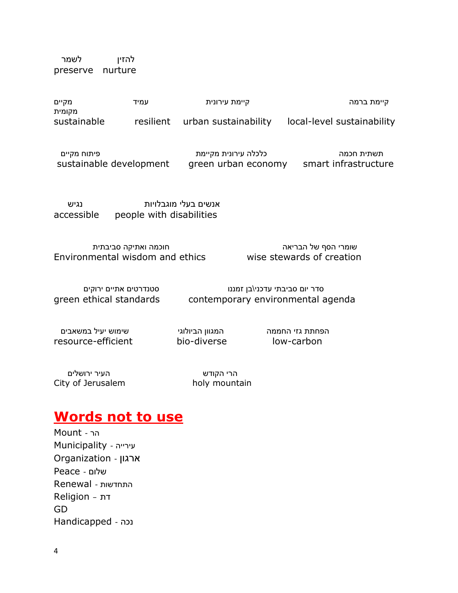להזין לשמר preserve nurture

| מקיים<br>מקומית<br>sustainable | עמיד | קיימת עירונית                  | קיימת ברמה                 |
|--------------------------------|------|--------------------------------|----------------------------|
|                                |      | resilient urban sustainability | local-level sustainability |

תשתית חכמה כלכלה עירונית מקיימת פיתוח מקיים sustainable development green urban economy smart infrastructure

אנשים בעלי מוגבלויות נגיש accessible people with disabilities

Environmental wisdom and ethics wise stewards of creation

שומרי הסף של הבריאה חוכמה ואתיקה סביבתית

סדר יום סביבתי עדכני\בן זמננו סטנדרטים אתיים ירוקים green ethical standards contemporary environmental agenda

הפחתת גזי החממה המגוון הביולוגי שימוש יעיל במשאבים resource-efficient bio-diverse low-carbon

הרי הקודש העיר ירושלים City of Jerusalem holy mountain

## **Words not to use**

הר - Mount עירייה - Municipality ארגון - Organization שלום - Peace התחדשות - Renewal דת – Religion GD נכה - Handicapped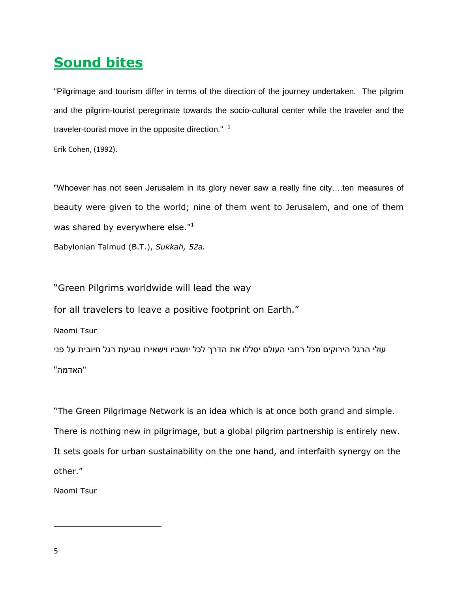# **Sound bites**

"Pilgrimage and tourism differ in terms of the direction of the journey undertaken. The pilgrim and the pilgrim-tourist peregrinate towards the socio-cultural center while the traveler and the traveler-tourist move in the opposite direction."  $1$ 

Erik Cohen, (1992).

"Whoever has not seen Jerusalem in its glory never saw a really fine city….ten measures of beauty were given to the world; nine of them went to Jerusalem, and one of them was shared by everywhere else."<sup>1</sup>

Babylonian Talmud (B.T.), *Sukkah, 52a.*

"Green Pilgrims worldwide will lead the way

for all travelers to leave a positive footprint on Earth."

Naomi Tsur

עולי הרגל הירוקים מכל רחבי העולם יסללו את הדרך לכל יושביו וישאירו טביעת רגל חיובית על פני "האדמה"

"The Green Pilgrimage Network is an idea which is at once both grand and simple. There is nothing new in pilgrimage, but a global pilgrim partnership is entirely new. It sets goals for urban sustainability on the one hand, and interfaith synergy on the other."

Naomi Tsur

 $\overline{\phantom{a}}$